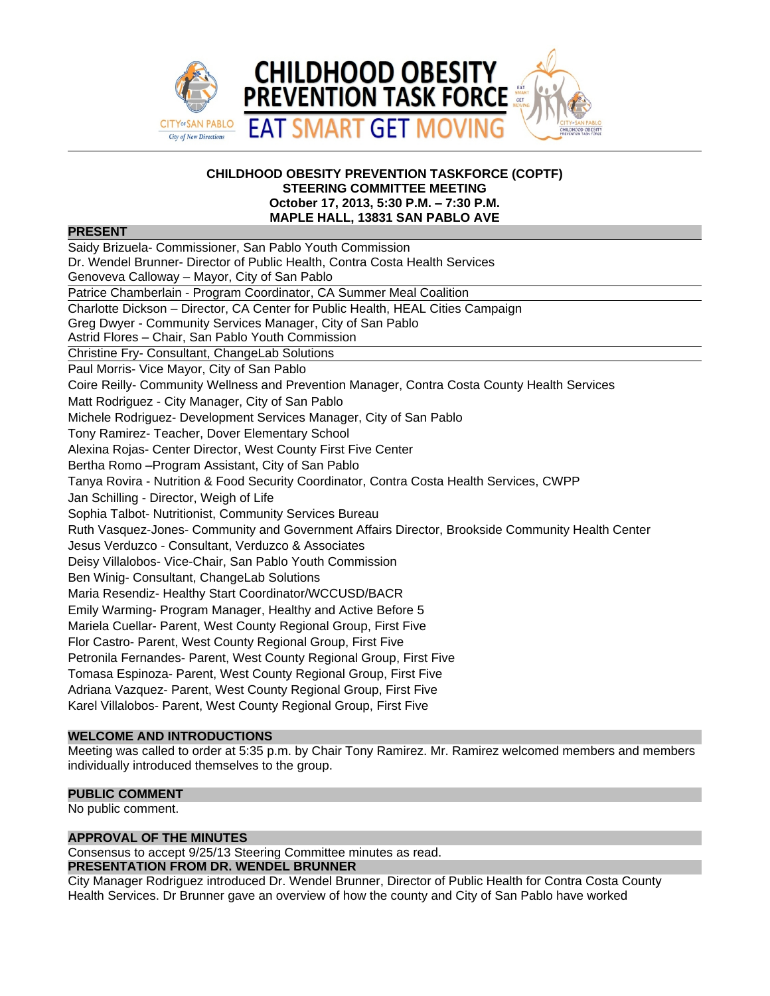

## **CHILDHOOD OBESITY PREVENTION TASKFORCE (COPTF) STEERING COMMITTEE MEETING October 17, 2013, 5:30 P.M. – 7:30 P.M. MAPLE HALL, 13831 SAN PABLO AVE**

# **PRESENT**

Saidy Brizuela- Commissioner, San Pablo Youth Commission Dr. Wendel Brunner- Director of Public Health, Contra Costa Health Services Genoveva Calloway – Mayor, City of San Pablo Patrice Chamberlain - Program Coordinator, CA Summer Meal Coalition Charlotte Dickson – Director, CA Center for Public Health, HEAL Cities Campaign Greg Dwyer - Community Services Manager, City of San Pablo Astrid Flores – Chair, San Pablo Youth Commission Christine Fry- Consultant, ChangeLab Solutions Paul Morris- Vice Mayor, City of San Pablo Coire Reilly- Community Wellness and Prevention Manager, Contra Costa County Health Services Matt Rodriguez - City Manager, City of San Pablo Michele Rodriguez- Development Services Manager, City of San Pablo Tony Ramirez- Teacher, Dover Elementary School Alexina Rojas- Center Director, West County First Five Center Bertha Romo –Program Assistant, City of San Pablo Tanya Rovira - Nutrition & Food Security Coordinator, Contra Costa Health Services, CWPP Jan Schilling - Director, Weigh of Life Sophia Talbot- Nutritionist, Community Services Bureau Ruth Vasquez-Jones- Community and Government Affairs Director, Brookside Community Health Center Jesus Verduzco - Consultant, Verduzco & Associates Deisy Villalobos- Vice-Chair, San Pablo Youth Commission Ben Winig- Consultant, ChangeLab Solutions Maria Resendiz- Healthy Start Coordinator/WCCUSD/BACR Emily Warming- Program Manager, Healthy and Active Before 5 Mariela Cuellar- Parent, West County Regional Group, First Five Flor Castro- Parent, West County Regional Group, First Five Petronila Fernandes- Parent, West County Regional Group, First Five Tomasa Espinoza- Parent, West County Regional Group, First Five Adriana Vazquez- Parent, West County Regional Group, First Five Karel Villalobos- Parent, West County Regional Group, First Five

# **WELCOME AND INTRODUCTIONS**

Meeting was called to order at 5:35 p.m. by Chair Tony Ramirez. Mr. Ramirez welcomed members and members individually introduced themselves to the group.

## **PUBLIC COMMENT**

No public comment.

## **APPROVAL OF THE MINUTES**

Consensus to accept 9/25/13 Steering Committee minutes as read.

### **PRESENTATION FROM DR. WENDEL BRUNNER**

City Manager Rodriguez introduced Dr. Wendel Brunner, Director of Public Health for Contra Costa County Health Services. Dr Brunner gave an overview of how the county and City of San Pablo have worked